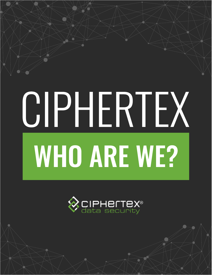# CIPHERTEX **WHO ARE WE?**

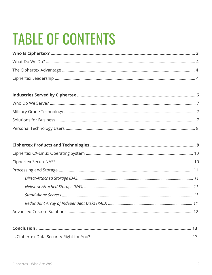### <span id="page-1-0"></span>**TABLE OF CONTENTS**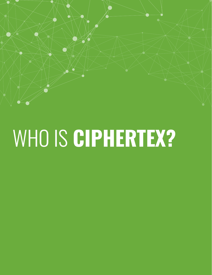<span id="page-2-0"></span>

## WHO IS CIPHERTEX?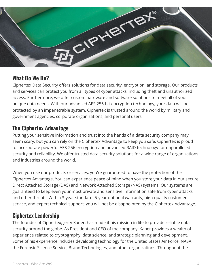<span id="page-3-0"></span>

#### **What Do We Do?**

Ciphertex Data Security offers solutions for data security, encryption, and storage. Our products and services can protect you from all types of cyber attacks, including theft and unauthorized access. Furthermore, we offer custom hardware and software solutions to meet all of your unique data needs. With our advanced AES 256-bit encryption technology, your data will be protected by an impenetrable system. Ciphertex is trusted around the world by military and government agencies, corporate organizations, and personal users.

#### **The Ciphertex Advantage**

Putting your sensitive information and trust into the hands of a data security company may seem scary, but you can rely on the Ciphertex Advantage to keep you safe. Ciphertex is proud to incorporate powerful AES-256 encryption and advanced RAID technology for unparalleled security and reliability. We offer trusted data security solutions for a wide range of organizations and industries around the world.

When you use our products or services, you're guaranteed to have the protection of the Ciphertex Advantage. You can experience peace of mind when you store your data in our secure Direct Attached Storage (DAS) and Network Attached Storage (NAS) systems. Our systems are guaranteed to keep even your most private and sensitive information safe from cyber attacks and other threats. With a 3-year standard, 5-year optional warranty, high-quality customer service, and expert technical support, you will not be disappointed by the Ciphertex Advantage.

#### **Ciphertex Leadership**

The founder of Ciphertex, Jerry Kaner, has made it his mission in life to provide reliable data security around the globe. As President and CEO of the company, Kaner provides a wealth of experience related to cryptography, data science, and strategic planning and development. Some of his experience includes developing technology for the United States Air Force, NASA, the Forensic Science Service, Brand Technologies, and other organizations. Throughout the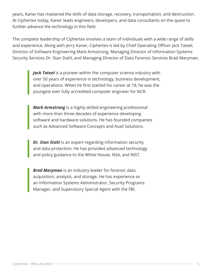years, Kaner has mastered the skills of data storage, recovery, transportation, and destruction. At Ciphertex today, Kaner leads engineers, developers, and data consultants on the quest to further advance the technology in this field.

The complete leadership of Ciphertex involves a team of individuals with a wide range of skills and experience. Along with Jerry Kaner, Ciphertex is led by Chief Operating Officer Jack Tateel, Director of Software Engineering Mark Armstrong, Managing Director of Information Systems Security Services Dr. Stan Stahl, and Managing Director of Data Forensic Services Brad Maryman.

> *Jack Tateel* is a pioneer within the computer science industry with over 50 years of experience in technology, business development, and operations. When he first started his career at 18, he was the youngest ever fully accredited computer engineer for NCR.

*Mark Armstrong* is a highly skilled engineering professional with more than three decades of experience developing software and hardware solutions. He has founded companies such as Advanced Software Concepts and Avail Solutions.

*Dr. Stan Stahl* is an expert regarding information security and data protection. He has provided advanced technology and policy guidance to the White House, NSA, and NIST.

*Brad Maryman* is an industry leader for forensic data acquisition, analysis, and storage. He has experience as an Information Systems Administrator, Security Programs Manager, and Supervisory Special Agent with the FBI.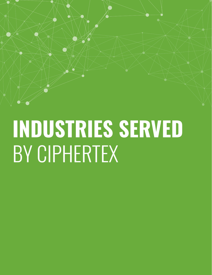### <span id="page-5-0"></span>**INDUSTRIES SERVED** BY CIPHERTEX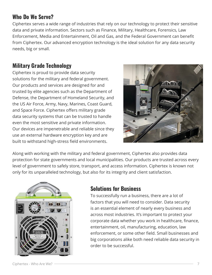#### <span id="page-6-0"></span>**Who Do We Serve?**

Ciphertex serves a wide range of industries that rely on our technology to protect their sensitive data and private information. Sectors such as Finance, Military, Healthcare, Forensics, Law Enforcement, Media and Entertainment, Oil and Gas, and the Federal Government can benefit from Ciphertex. Our advanced encryption technology is the ideal solution for any data security needs, big or small.

#### **Military Grade Technology**

Ciphertex is proud to provide data security solutions for the military and federal government. Our products and services are designed for and trusted by elite agencies such as the Department of Defense, the Department of Homeland Security, and the US Air Force, Army, Navy, Marines, Coast Guard, and Space Force. Ciphertex offers military grade data security systems that can be trusted to handle even the most sensitive and private information. Our devices are impenetrable and reliable since they use an external hardware encryption key and are built to withstand high-stress field environments.



Along with working with the military and federal government, Ciphertex also provides data protection for state governments and local municipalities. Our products are trusted across every level of government to safely store, transport, and access information. Ciphertex is known not only for its unparalleled technology, but also for its integrity and client satisfaction.



#### **Solutions for Business**

To successfully run a business, there are a lot of factors that you will need to consider. Data security is an essential element of nearly every business and across most industries. It's important to protect your corporate data whether you work in healthcare, finance, entertainment, oil, manufacturing, education, law enforcement, or some other field. Small businesses and big corporations alike both need reliable data security in order to be successful.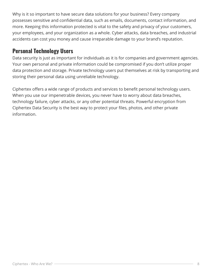<span id="page-7-0"></span>Why is it so important to have secure data solutions for your business? Every company possesses sensitive and confidential data, such as emails, documents, contact information, and more. Keeping this information protected is vital to the safety and privacy of your customers, your employees, and your organization as a whole. Cyber attacks, data breaches, and industrial accidents can cost you money and cause irreparable damage to your brand's reputation.

#### **Personal Technology Users**

Data security is just as important for individuals as it is for companies and government agencies. Your own personal and private information could be compromised if you don't utilize proper data protection and storage. Private technology users put themselves at risk by transporting and storing their personal data using unreliable technology.

Ciphertex offers a wide range of products and services to benefit personal technology users. When you use our impenetrable devices, you never have to worry about data breaches, technology failure, cyber attacks, or any other potential threats. Powerful encryption from Ciphertex Data Security is the best way to protect your files, photos, and other private information.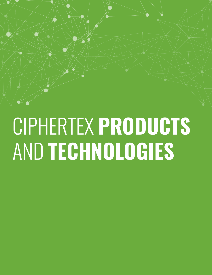### <span id="page-8-0"></span>CIPHERTEX **PRODUCTS** AND **TECHNOLOGIES**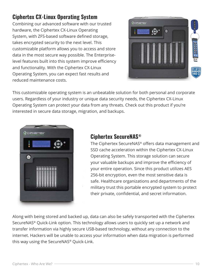#### <span id="page-9-0"></span>**Ciphertex CX-Linux Operating System**

Combining our advanced software with our trusted hardware, the Ciphertex CX-Linux Operating System, with ZFS-based software defined storage, takes encrypted security to the next level. This customizable platform allows you to access and store data in the most secure way possible. The Enterpriselevel features built into this system improve efficiency and functionality. With the Ciphertex CX-Linux Operating System, you can expect fast results and reduced maintenance costs.



This customizable operating system is an unbeatable solution for both personal and corporate users. Regardless of your industry or unique data security needs, the Ciphertex CX-Linux Operating System can protect your data from any threats. Check out this product if you're interested in secure data storage, migration, and backups.



#### **Ciphertex SecureNAS®**

The Ciphertex SecureNAS® offers data management and SSD cache acceleration within the Ciphertex CX-Linux Operating System. This storage solution can secure your valuable backups and improve the efficiency of your entire operation. Since this product utilizes AES 256-bit encryption, even the most sensitive data is safe. Healthcare organizations and departments of the military trust this portable encrypted system to protect their private, confidential, and secret information.

Along with being stored and backed up, data can also be safely transported with the Ciphertex SecureNAS® Quick-Link option. This technology allows users to quickly set up a network and transfer information via highly secure USB-based technology, without any connection to the internet. Hackers will be unable to access your information when data migration is performed this way using the SecureNAS® Quick-Link.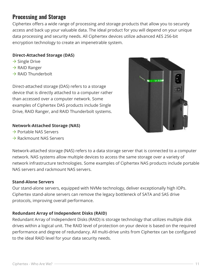#### <span id="page-10-0"></span>**Processing and Storage**

Ciphertex offers a wide range of processing and storage products that allow you to securely access and back up your valuable data. The ideal product for you will depend on your unique data processing and security needs. All Ciphertex devices utilize advanced AES 256-bit encryption technology to create an impenetrable system.

#### **Direct-Attached Storage (DAS)**

- $\rightarrow$  Single Drive
- $\rightarrow$  RAID Ranger
- $\rightarrow$  RAID Thunderbolt

Direct-attached storage (DAS) refers to a storage device that is directly attached to a computer rather than accessed over a computer network. Some examples of Ciphertex DAS products include Single Drive, RAID Ranger, and RAID Thunderbolt systems.

#### **Network-Attached Storage (NAS)**

- $\rightarrow$  Portable NAS Servers
- $\rightarrow$  Rackmount NAS Servers



Network-attached storage (NAS) refers to a data storage server that is connected to a computer network. NAS systems allow multiple devices to access the same storage over a variety of network infrastructure technologies. Some examples of Ciphertex NAS products include portable NAS servers and rackmount NAS servers.

#### **Stand-Alone Servers**

Our stand-alone servers, equipped with NVMe technology, deliver exceptionally high IOPs. Ciphertex stand-alone servers can remove the legacy bottleneck of SATA and SAS drive protocols, improving overall performance.

#### **Redundant Array of Independent Disks (RAID)**

Redundant Array of Independent Disks (RAID) is storage technology that utilizes multiple disk drives within a logical unit. The RAID level of protection on your device is based on the required performance and degree of redundancy. All multi-drive units from Ciphertex can be configured to the ideal RAID level for your data security needs.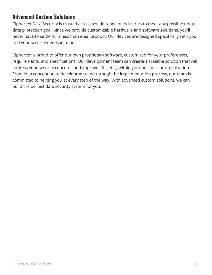#### <span id="page-11-0"></span>**Advanced Custom Solutions**

Ciphertex Data Security is trusted across a wide range of industries to meet any possible unique data protection goal. Since we provide customizable hardware and software solutions, you'll never have to settle for a less than ideal product. Our devices are designed specifically with you and your security needs in mind.

Ciphertex is proud to offer our own proprietary software, customized for your preferences, requirements, and specifications. Our development team can create a scalable solution that will address your security concerns and improve efficiency within your business or organization. From idea conception to development and through the implementation process, our team is committed to helping you at every step of the way. With advanced custom solutions, we can build the perfect data security system for you.